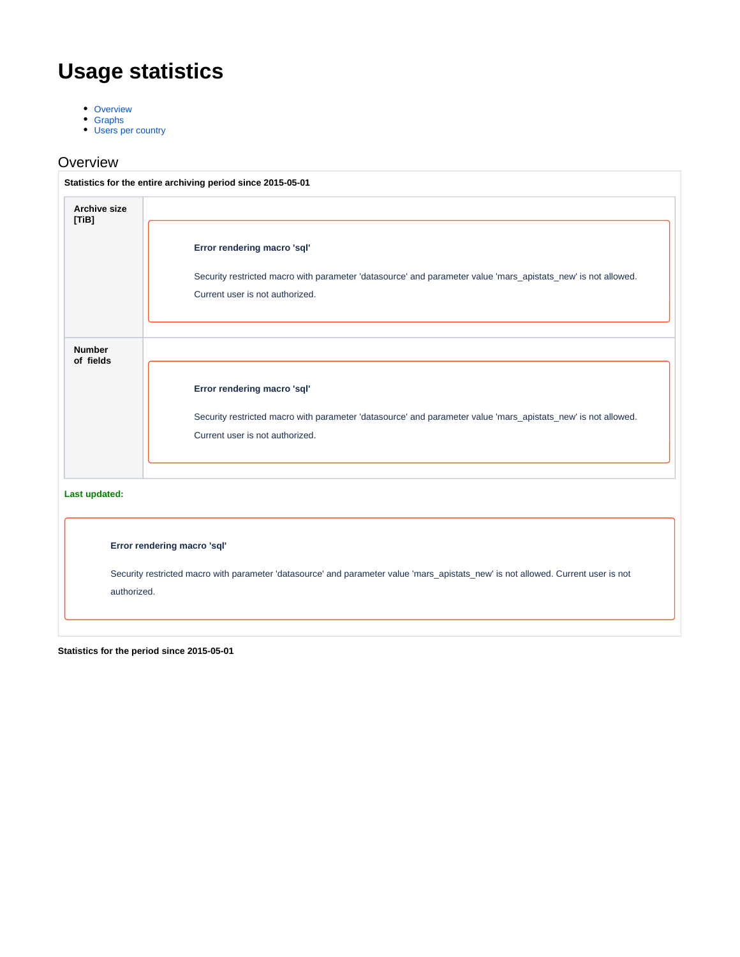# **Usage statistics**

- [Overview](#page-0-0)
- **[Graphs](#page-1-0)**
- [Users per country](#page-3-0)

### <span id="page-0-0"></span>**Overview**

| <b>Archive size</b><br>[TiB] |                                                                                                                                                  |
|------------------------------|--------------------------------------------------------------------------------------------------------------------------------------------------|
|                              | Error rendering macro 'sql'                                                                                                                      |
|                              | Security restricted macro with parameter 'datasource' and parameter value 'mars_apistats_new' is not allowed.<br>Current user is not authorized. |
| <b>Number</b><br>of fields   |                                                                                                                                                  |
|                              | Error rendering macro 'sql'                                                                                                                      |
|                              | Security restricted macro with parameter 'datasource' and parameter value 'mars_apistats_new' is not allowed.                                    |
|                              | Current user is not authorized.                                                                                                                  |
| Last updated:                |                                                                                                                                                  |
|                              | Error rendering macro 'sql'                                                                                                                      |
|                              | Security restricted macro with parameter 'datasource' and parameter value 'mars_apistats_new' is not allowed. Current user is not                |
| authorized.                  |                                                                                                                                                  |

**Statistics for the period since 2015-05-01**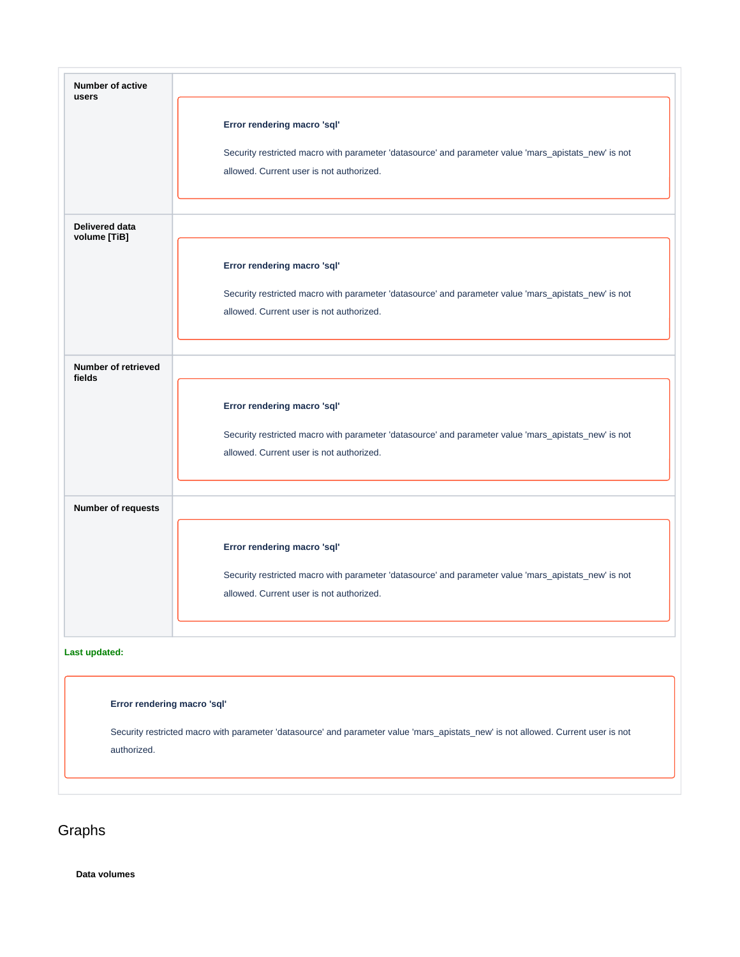| <b>Number of active</b><br>users     |                                                                                                                                                                                 |
|--------------------------------------|---------------------------------------------------------------------------------------------------------------------------------------------------------------------------------|
|                                      | Error rendering macro 'sql'                                                                                                                                                     |
|                                      | Security restricted macro with parameter 'datasource' and parameter value 'mars_apistats_new' is not<br>allowed. Current user is not authorized.                                |
|                                      |                                                                                                                                                                                 |
| Delivered data<br>volume [TiB]       |                                                                                                                                                                                 |
|                                      | Error rendering macro 'sql'                                                                                                                                                     |
|                                      | Security restricted macro with parameter 'datasource' and parameter value 'mars_apistats_new' is not<br>allowed. Current user is not authorized.                                |
| <b>Number of retrieved</b><br>fields |                                                                                                                                                                                 |
|                                      | Error rendering macro 'sql'<br>Security restricted macro with parameter 'datasource' and parameter value 'mars_apistats_new' is not<br>allowed. Current user is not authorized. |
| Number of requests                   |                                                                                                                                                                                 |
|                                      | Error rendering macro 'sql'                                                                                                                                                     |
|                                      | Security restricted macro with parameter 'datasource' and parameter value 'mars_apistats_new' is not<br>allowed. Current user is not authorized.                                |
| Last updated:                        |                                                                                                                                                                                 |
| Error rendering macro 'sql'          |                                                                                                                                                                                 |
| authorized.                          | Security restricted macro with parameter 'datasource' and parameter value 'mars_apistats_new' is not allowed. Current user is not                                               |
|                                      |                                                                                                                                                                                 |

# <span id="page-1-0"></span>Graphs

**Data volumes**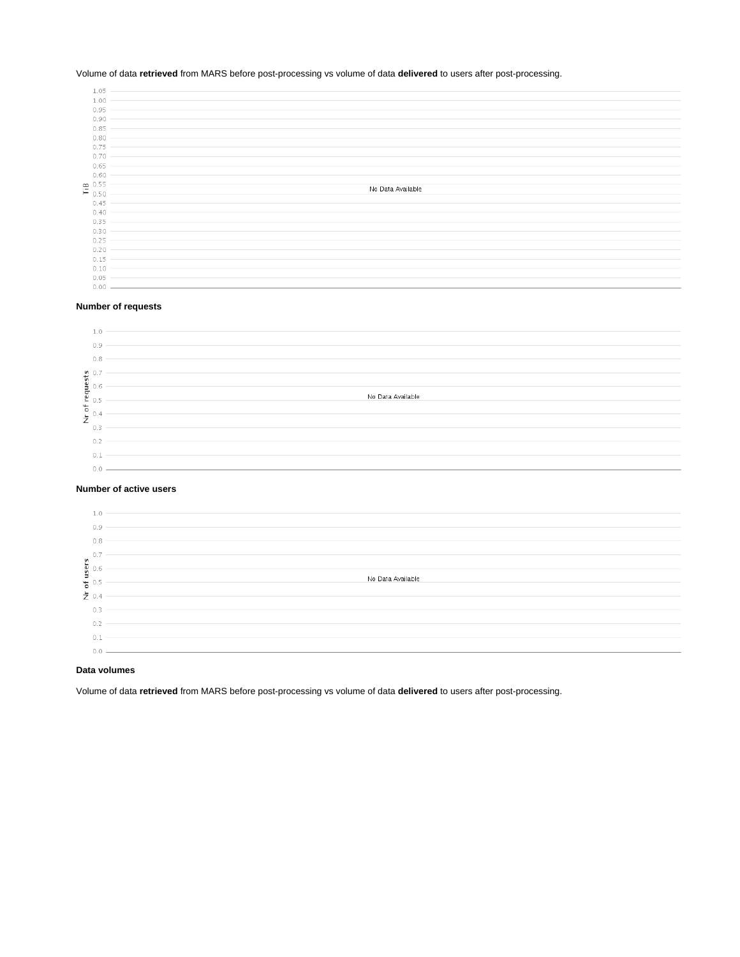#### Volume of data **retrieved** from MARS before post-processing vs volume of data **delivered** to users after post-processing.

| 1.05                                                |                   |
|-----------------------------------------------------|-------------------|
|                                                     |                   |
| 1.00                                                |                   |
| 0.95                                                |                   |
| 0.90                                                |                   |
| 0.85                                                |                   |
| 0.80                                                |                   |
| 0.75                                                |                   |
| 0.70                                                |                   |
| 0.65                                                |                   |
| 0.60                                                |                   |
|                                                     |                   |
| $\overset{\bullet}{\mathsf{F}} \, {}^{0.55}_{0.50}$ | No Data Available |
|                                                     |                   |
| 0.45                                                |                   |
| 0.40                                                |                   |
| 0.35                                                |                   |
| 0.30                                                |                   |
| 0.25                                                |                   |
| 0.20                                                |                   |
| 0.15                                                |                   |
| 0.10                                                |                   |
| 0.05                                                |                   |
| 0.00 -                                              |                   |
|                                                     |                   |

#### **Number of requests**

|    | 0.9  |                   |
|----|------|-------------------|
|    | 0.8  |                   |
|    |      |                   |
| V. |      |                   |
| Ë  |      |                   |
|    |      | No Data Available |
| c  |      |                   |
| -  |      |                   |
|    | -0 - |                   |
|    |      |                   |
|    | 0.2  |                   |
|    | 0.1  |                   |
|    |      |                   |
|    |      |                   |

#### **Number of active users**

|      | 1.0 |                   |
|------|-----|-------------------|
|      | 0.9 |                   |
|      | 0.8 |                   |
| u    |     |                   |
| user | 0.6 |                   |
| F.   |     | No Data Available |
| 70.4 |     |                   |
|      | 0.3 |                   |
|      | 0.2 |                   |
|      | 0.1 |                   |
|      |     |                   |

#### **Data volumes**

Volume of data **retrieved** from MARS before post-processing vs volume of data **delivered** to users after post-processing.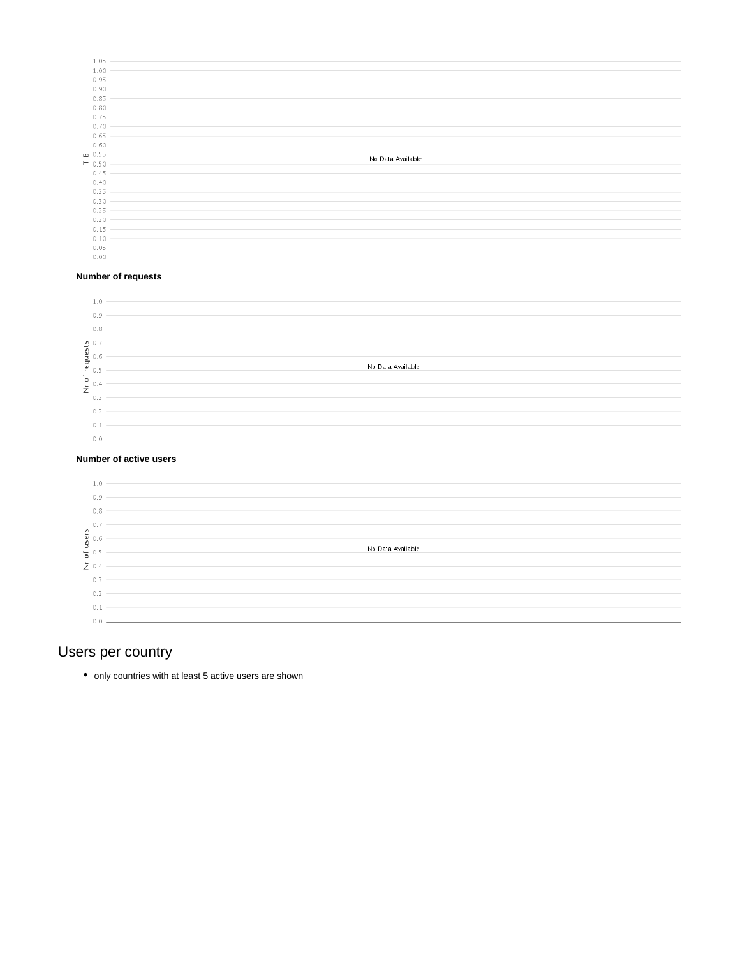| 1.05                                     |                   |
|------------------------------------------|-------------------|
| 1.00                                     |                   |
| 0.95                                     |                   |
| 0.90                                     |                   |
| 0.85                                     |                   |
| 0.80                                     |                   |
| 0.75                                     |                   |
|                                          |                   |
| 0.70                                     |                   |
| 0.65                                     |                   |
| 0.60                                     |                   |
| $\overset{\text{me}}{\mathsf{F}}$ 0.50 - | No Data Available |
|                                          |                   |
| 0.45                                     |                   |
| 0.40                                     |                   |
| 0.35                                     |                   |
|                                          |                   |
| $0.30 -$                                 |                   |
|                                          |                   |
| 0.25<br>$0.20 -$                         |                   |
|                                          |                   |
| 0.15                                     |                   |
| 0.10                                     |                   |
| 0.05<br>$0.00 -$                         |                   |

#### **Number of requests**

|         | 1.0                                              |                   |
|---------|--------------------------------------------------|-------------------|
|         | 0.9                                              |                   |
|         | 0.8                                              |                   |
|         |                                                  |                   |
|         |                                                  |                   |
|         | $\begin{array}{c} 0.7 \\ 0.6 \\ 0.5 \end{array}$ | No Data Available |
| $\circ$ |                                                  |                   |
|         |                                                  |                   |
|         | 0.3                                              |                   |
|         | 0.2                                              |                   |
|         | 0.1                                              |                   |
|         |                                                  |                   |

#### **Number of active users**

|                         | 1.0      |                   |
|-------------------------|----------|-------------------|
|                         | 0.9      |                   |
|                         | 0.8      |                   |
|                         | $\Omega$ |                   |
|                         |          |                   |
| ម្ពុ<br><b>ម្ពុ</b> 0.6 |          | No Data Available |
| 능 0.5                   |          |                   |
| 之 0.4                   |          |                   |
|                         | 0.3      |                   |
|                         | 0.2      |                   |
|                         | 0.1      |                   |
|                         | 01       |                   |

## <span id="page-3-0"></span>Users per country

• only countries with at least 5 active users are shown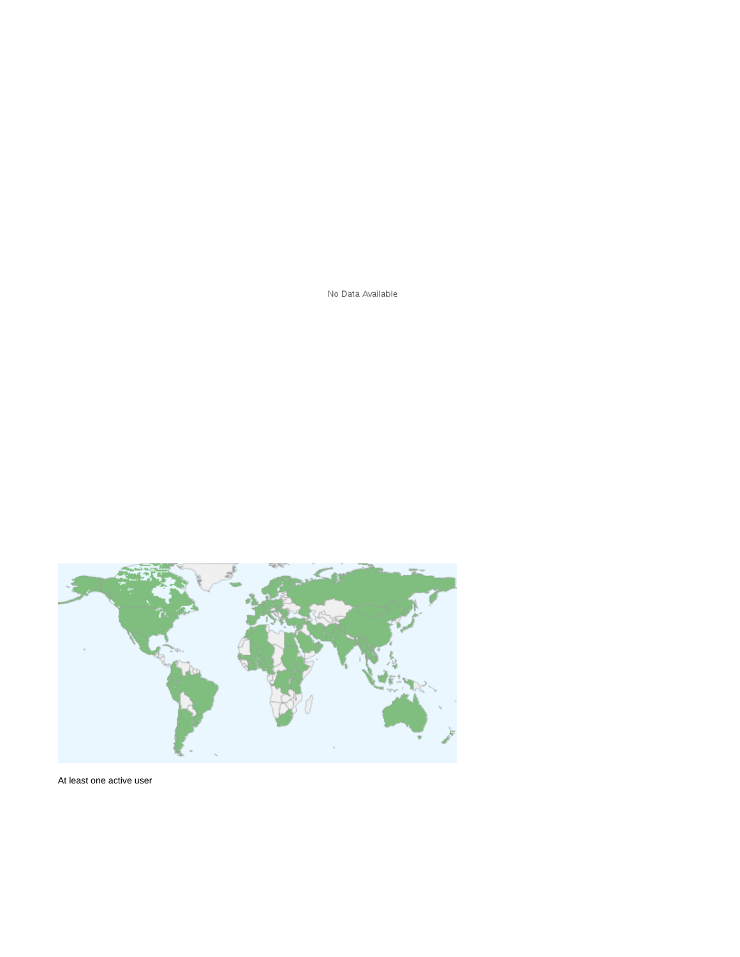No Data Available



At least one active user